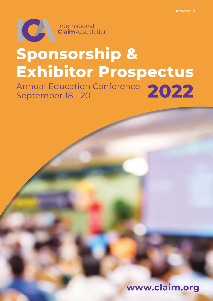

# **Sponsorship & Exhibitor Prospectus**

Annual Education Conference 2022<br>September 18 - 20 September 18 - 20

www.claim.org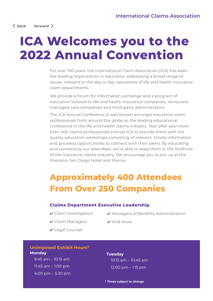## **ICA Welcomes you to the 2022 Annual Convention**

For over 100 years, the International Claim Association (ICA) has been the leading organization in education addressing a broad range of issues, relevant to the day to day operations of life and health insurance claim departments.

We provide a forum for information exchange and a program of education tailored to life and health insurance companies, reinsurers, managed care companies and third-party administrators.

The ICA Annual Conference is well known amongst insurance claim professionals from around the globe as the leading educational conference in the life and health claims industry. Year after year more than 400 claims professionals entrust ICA to provide them with the quality education workshops consisting of relevant, timely information and priceless opportunities to connect with their peers. By educating and connecting our attendees, we're able to keep them in the forefront of the insurance claims industry. We encourage you to join us at the Sheraton San Diego Hotel and Marina.

### **Approximately 400 Attendees From Over 250 Companies**

#### **Claims Department Executive Leadership**

- ✔ Claim Investigators
- ✔ Managers of Benefits Administration
- ✔ Claim Managers
- ✔ And more
- ✔ Legal Counsel

#### **Unimposed Exhibit Hours\* Monday**

9:45 am – 10:15 am 11:45 am – 1:00 pm 4:00 pm – 5:30 pm

#### **Tuesday**

10:15 am – 10:45 am 12:00 pm – 1:15 pm

**\* Times subject to change**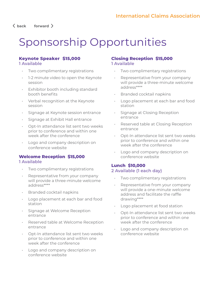#### **back forward**

### Sponsorship Opportunities

#### **Keynote Speaker \$15,000 1 Available**

- Two complimentary registrations
- 1-2 minute video to open the Keynote session
- Exhibitor booth including standard booth benefits
- Verbal recognition at the Keynote session
- Signage at Keynote session entrance
- Signage at Exhibit Hall entrance
- Opt-In attendance list sent two weeks prior to conference and within one week after the conference
- Logo and company description on conference website

#### **Welcome Reception \$15,000**

#### **1 Available**

- Two complimentary registrations
- Representative from your company will provide a three-minute welcome address\*\*\*\*
- Branded cocktail napkins
- Logo placement at each bar and food station
- Signage at Welcome Reception entrance
- Reserved table at Welcome Reception entrance
- Opt-In attendance list sent two weeks prior to conference and within one week after the conference
- Logo and company description on conference website

#### **Closing Reception \$15,000 1 Available**

- Two complimentary registrations
- Representative from your company will provide a three-minute welcome address\*\*\*\*
- Branded cocktail napkins
- Logo placement at each bar and food station
- Signage at Closing Reception entrance
- Reserved table at Closing Reception entrance
- Opt-In attendance list sent two weeks prior to conference and within one week after the conference
- Logo and company description on conference website

#### **Lunch \$10,000 2 Available (1 each day)**

- Two complimentary registrations
- Representative from your company will provide a one-minute welcome address and facilitate the raffle drawing\*\*\*\*
- Logo placement at food station
- Opt-In attendance list sent two weeks prior to conference and within one week after the conference
- Logo and company description on conference website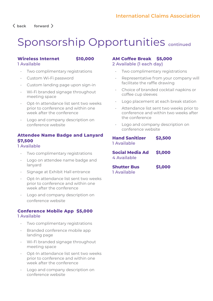**back forward** 

### Sponsorship Opportunities **continued**

#### **Wireless Internet \$10,000 1 Available**

- Two complimentary registrations
- Custom Wi-Fi password
- Custom landing page upon sign-in
- Wi-Fi branded signage throughout meeting space
- Opt-In attendance list sent two weeks prior to conference and within one week after the conference
- Logo and company description on conference website

#### **Attendee Name Badge and Lanyard \$7,500**

#### **1 Available**

- Two complimentary registrations
- Logo on attendee name badge and lanyard
- Signage at Exhibit Hall entrance
- Opt-In attendance list sent two weeks prior to conference and within one week after the conference
- Logo and company description on conference website

#### **Conference Mobile App \$5,000 1 Available**

- Two complimentary registrations
- Branded conference mobile app landing page
- Wi-Fi branded signage throughout meeting space
- Opt-In attendance list sent two weeks prior to conference and within one week after the conference
- Logo and company description on conference website

#### **AM Coffee Break \$5,000 2 Available (1 each day)**

- Two complimentary registrations
- Representative from your company will facilitate the raffle drawing
- Choice of branded cocktail napkins or coffee cup sleeves
- Logo placement at each break station
- Attendance list sent two weeks prior to conference and within two weeks after the conference
- Logo and company description on conference website

#### **Hand Sanitizer \$2,500 1 Available**

**Social Media Ad \$1,000 4 Available**

**Shutter Bus \$1,000 1 Available**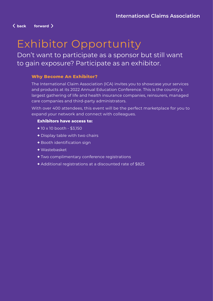**back forward** 

### Exhibitor Opportunity

Don't want to participate as a sponsor but still want to gain exposure? Participate as an exhibitor.

#### **Why Become An Exhibitor?**

The International Claim Association (ICA) invites you to showcase your services and products at its 2022 Annual Education Conference. This is the country's largest gathering of life and health insurance companies, reinsurers, managed care companies and third-party administrators.

With over 400 attendees, this event will be the perfect marketplace for you to expand your network and connect with colleagues.

#### **Exhibitors have access to:**

- + 10 x 10 booth \$3,150
- + Display table with two chairs
- + Booth identification sign
- + Wastebasket
- + Two complimentary conference registrations
- + Additional registrations at a discounted rate of \$825